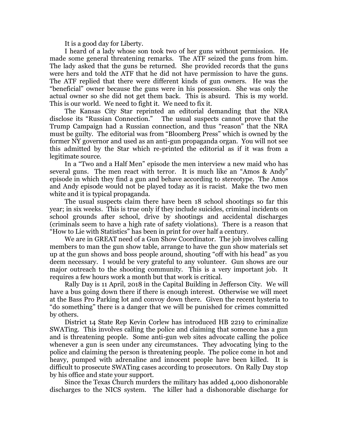It is a good day for Liberty.

I heard of a lady whose son took two of her guns without permission. He made some general threatening remarks. The ATF seized the guns from him. The lady asked that the guns be returned. She provided records that the guns were hers and told the ATF that he did not have permission to have the guns. The ATF replied that there were different kinds of gun owners. He was the "beneficial" owner because the guns were in his possession. She was only the actual owner so she did not get them back. This is absurd. This is my world. This is our world. We need to fight it. We need to fix it.

The Kansas City Star reprinted an editorial demanding that the NRA disclose its "Russian Connection." The usual suspects cannot prove that the Trump Campaign had a Russian connection, and thus "reason" that the NRA must be guilty. The editorial was from "Bloomberg Press" which is owned by the former NY governor and used as an anti-gun propaganda organ. You will not see this admitted by the Star which re-printed the editorial as if it was from a legitimate source.

In a "Two and a Half Men" episode the men interview a new maid who has several guns. The men react with terror. It is much like an "Amos & Andy" episode in which they find a gun and behave according to stereotype. The Amos and Andy episode would not be played today as it is racist. Make the two men white and it is typical propaganda.

The usual suspects claim there have been 18 school shootings so far this year; in six weeks. This is true only if they include suicides, criminal incidents on school grounds after school, drive by shootings and accidental discharges (criminals seem to have a high rate of safety violations). There is a reason that "How to Lie with Statistics" has been in print for over half a century.

We are in GREAT need of a Gun Show Coordinator. The job involves calling members to man the gun show table, arrange to have the gun show materials set up at the gun shows and boss people around, shouting "off with his head" as you deem necessary. I would be very grateful to any volunteer. Gun shows are our major outreach to the shooting community. This is a very important job. It requires a few hours work a month but that work is critical.

Rally Day is 11 April, 2018 in the Capital Building in Jefferson City. We will have a bus going down there if there is enough interest. Otherwise we will meet at the Bass Pro Parking lot and convoy down there. Given the recent hysteria to "do something" there is a danger that we will be punished for crimes committed by others.

District 14 State Rep Kevin Corlew has introduced HB 2219 to criminalize SWATing. This involves calling the police and claiming that someone has a gun and is threatening people. Some anti-gun web sites advocate calling the police whenever a gun is seen under any circumstances. They advocating lying to the police and claiming the person is threatening people. The police come in hot and heavy, pumped with adrenaline and innocent people have been killed. It is difficult to prosecute SWATing cases according to prosecutors. On Rally Day stop by his office and state your support.

Since the Texas Church murders the military has added 4,000 dishonorable discharges to the NICS system. The killer had a dishonorable discharge for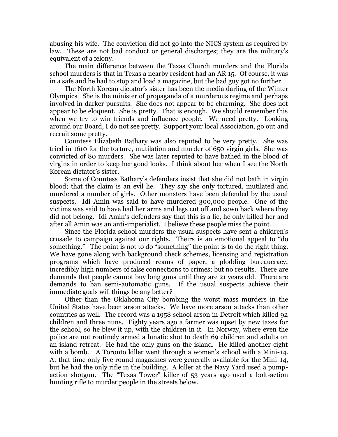abusing his wife. The conviction did not go into the NICS system as required by law. These are not bad conduct or general discharges; they are the military's equivalent of a felony.

The main difference between the Texas Church murders and the Florida school murders is that in Texas a nearby resident had an AR 15. Of course, it was in a safe and he had to stop and load a magazine, but the bad guy got no further.

The North Korean dictator's sister has been the media darling of the Winter Olympics. She is the minister of propaganda of a murderous regime and perhaps involved in darker pursuits. She does not appear to be charming. She does not appear to be eloquent. She is pretty. That is enough. We should remember this when we try to win friends and influence people. We need pretty. Looking around our Board, I do not see pretty. Support your local Association, go out and recruit some pretty.

Countess Elizabeth Bathary was also reputed to be very pretty. She was tried in 1610 for the torture, mutilation and murder of 650 virgin girls. She was convicted of 80 murders. She was later reputed to have bathed in the blood of virgins in order to keep her good looks. I think about her when I see the North Korean dictator's sister.

Some of Countess Bathary's defenders insist that she did not bath in virgin blood; that the claim is an evil lie. They say she only tortured, mutilated and murdered a number of girls. Other monsters have been defended by the usual suspects. Idi Amin was said to have murdered 300,000 people. One of the victims was said to have had her arms and legs cut off and sown back where they did not belong. Idi Amin's defenders say that this is a lie, he only killed her and after all Amin was an anti-imperialist. I believe these people miss the point.

Since the Florida school murders the usual suspects have sent a children's crusade to campaign against our rights. Theirs is an emotional appeal to "do something." The point is not to do "something" the point is to do the right thing. We have gone along with background check schemes, licensing and registration programs which have produced reams of paper, a plodding bureaucracy, incredibly high numbers of false connections to crimes; but no results. There are demands that people cannot buy long guns until they are 21 years old. There are demands to ban semi-automatic guns. If the usual suspects achieve their immediate goals will things be any better?

Other than the Oklahoma City bombing the worst mass murders in the United States have been arson attacks. We have more arson attacks than other countries as well. The record was a 1958 school arson in Detroit which killed 92 children and three nuns. Eighty years ago a farmer was upset by new taxes for the school, so he blew it up, with the children in it. In Norway, where even the police are not routinely armed a lunatic shot to death 69 children and adults on an island retreat. He had the only guns on the island. He killed another eight with a bomb. A Toronto killer went through a women's school with a Mini-14. At that time only five round magazines were generally available for the Mini-14, but he had the only rifle in the building. A killer at the Navy Yard used a pumpaction shotgun. The "Texas Tower" killer of 53 years ago used a bolt-action hunting rifle to murder people in the streets below.